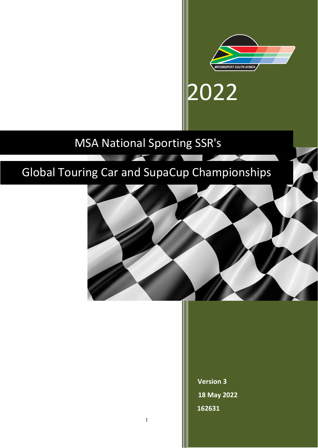

2022

# MSA National Sporting SSR's

# Global Touring Car and SupaCup Championships



**Version 3 18 May 2022 162631**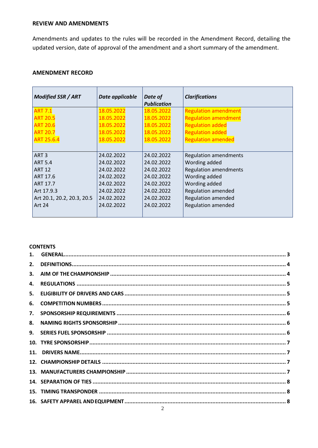# **REVIEW AND AMENDMENTS**

Amendments and updates to the rules will be recorded in the Amendment Record, detailing the updated version, date of approval of the amendment and a short summary of the amendment.

# **AMENDMENT RECORD**

| <b>Modified SSR / ART</b>  | Date applicable | Date of<br><b>Publication</b> | <b>Clarifications</b>        |
|----------------------------|-----------------|-------------------------------|------------------------------|
| <b>ART 7.1</b>             | 18.05.2022      | 18.05.2022                    | <b>Regulation amendment</b>  |
| <b>ART 20.5</b>            | 18.05.2022      | 18.05.2022                    | <b>Regulation amendment</b>  |
| <b>ART 20.6</b>            | 18.05.2022      | 18.05.2022                    | <b>Regulation added</b>      |
| <b>ART 20.7</b>            | 18.05.2022      | 18.05.2022                    | <b>Regulation added</b>      |
| <b>ART 25.6.4</b>          | 18.05.2022      | 18.05.2022                    | <b>Regulation amended</b>    |
|                            |                 |                               |                              |
| ART <sub>3</sub>           | 24.02.2022      | 24.02.2022                    | <b>Regulation amendments</b> |
| <b>ART 5.4</b>             | 24.02.2022      | 24.02.2022                    | Wording added                |
| <b>ART 12</b>              | 24.02.2022      | 24.02.2022                    | <b>Regulation amendments</b> |
| ART 17.6                   | 24.02.2022      | 24.02.2022                    | Wording added                |
| ART 17.7                   | 24.02.2022      | 24.02.2022                    | Wording added                |
| Art 17.9.3                 | 24.02.2022      | 24.02.2022                    | <b>Regulation amended</b>    |
| Art 20.1, 20.2, 20.3, 20.5 | 24.02.2022      | 24.02.2022                    | <b>Regulation amended</b>    |
| <b>Art 24</b>              | 24.02.2022      | 24.02.2022                    | <b>Regulation amended</b>    |

## **CONTENTS**

| 2. |  |
|----|--|
| 3. |  |
| 4. |  |
| 5. |  |
| 6. |  |
| 7. |  |
| 8. |  |
|    |  |
|    |  |
|    |  |
|    |  |
|    |  |
|    |  |
|    |  |
|    |  |
|    |  |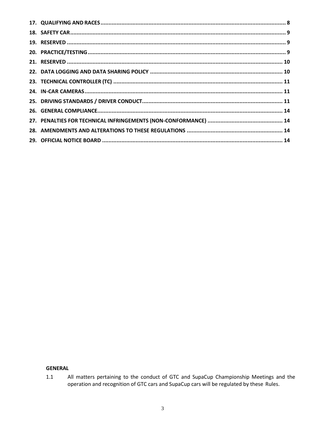# <span id="page-2-0"></span>**GENERAL**

All matters pertaining to the conduct of GTC and SupaCup Championship Meetings and the operation and recognition of GTC cars and SupaCup cars will be regulated by these Rules.  $1.1$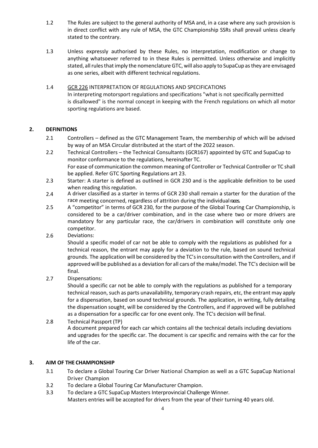- 1.2 The Rules are subject to the general authority of MSA and, in a case where any such provision is in direct conflict with any rule of MSA, the GTC Championship SSRs shall prevail unless clearly stated to the contrary.
- 1.3 Unless expressly authorised by these Rules, no interpretation, modification or change to anything whatsoever referred to in these Rules is permitted. Unless otherwise and implicitly stated, all rules that imply the nomenclature GTC, will also apply to SupaCup as they are envisaged as one series, albeit with different technical regulations.
- 1.4 GCR 226 INTERPRETATION OF REGULATIONS AND SPECIFICATIONS In interpreting motorsport regulations and specifications "what is not specifically permitted is disallowed" is the normal concept in keeping with the French regulations on which all motor sporting regulations are based.

# <span id="page-3-0"></span>**2. DEFINITIONS**

- 2.1 Controllers defined as the GTC Management Team, the membership of which will be advised by way of an MSA Circular distributed at the start of the 2022 season.
- 2.2 Technical Controllers the Technical Consultants (GCR167) appointed by GTC and SupaCup to monitor conformance to the regulations, hereinafter TC. For ease of communication the common meaning of Controller or Technical Controller or TC shall be applied. Refer GTC Sporting Regulations art 23.
- 2.3 Starter: A starter is defined as outlined in GCR 230 and is the applicable definition to be used when reading this regulation.
- 2.4 A driver classified as a starter in terms of GCR 230 shall remain a starter for the duration of the race meeting concerned, regardless of attrition during the individual races.
- 2.5 A "competitor" in terms of GCR 230, for the purpose of the Global Touring Car Championship, is considered to be a car/driver combination, and in the case where two or more drivers are mandatory for any particular race, the car/drivers in combination will constitute only one competitor.
- 2.6 Deviations:

Should a specific model of car not be able to comply with the regulations as published for a technical reason, the entrant may apply for a deviation to the rule, based on sound technical grounds. The application will be considered by the TC'sin consultation with the Controllers, and if approved will be published as a deviation for all cars of the make/model. The TC's decision will be final.

2.7 Dispensations:

Should a specific car not be able to comply with the regulations as published for a temporary technical reason, such as parts unavailability, temporary crash repairs, etc, the entrant may apply for a dispensation, based on sound technical grounds. The application, in writing, fully detailing the dispensation sought, will be considered by the Controllers, and if approved will be published as a dispensation for a specific car for one event only. The TC's decision will befinal.

2.8 Technical Passport (TP) A document prepared for each car which contains all the technical details including deviations and upgrades for the specific car. The document is car specific and remains with the car for the life of the car.

# <span id="page-3-1"></span>**3. AIM OF THE CHAMPIONSHIP**

- 3.1 To declare a Global Touring Car Driver National Champion as well as a GTC SupaCup National Driver Champion
- 3.2 To declare a Global Touring Car Manufacturer Champion.
- 3.3 To declare a GTC SupaCup Masters Interprovincial Challenge Winner. Masters entries will be accepted for drivers from the year of their turning 40 years old.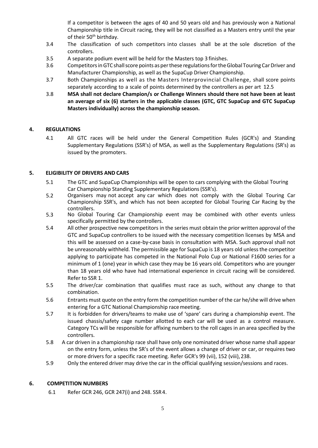If a competitor is between the ages of 40 and 50 years old and has previously won a National Championship title in Circuit racing, they will be not classified as a Masters entry until the year of their 50<sup>th</sup> birthday.

- 3.4 The classification of such competitors into classes shall be at the sole discretion of the controllers.
- 3.5 A separate podium event will be held for the Masters top 3 finishes.
- 3.6 Competitors in GTC shall score points as per these regulations for the Global Touring Car Driver and Manufacturer Championship, as well as the SupaCup Driver Championship.
- 3.7 Both Championships as well as the Masters Interprovincial Challenge, shall score points separately according to a scale of points determined by the controllers as per art 12.5
- 3.8 **MSA shall not declare Champion/s or Challenge Winners should there not have been at least an average of six (6) starters in the applicable classes (GTC, GTC SupaCup and GTC SupaCup Masters individually) across the championship season.**

## <span id="page-4-0"></span>**4. REGULATIONS**

4.1 All GTC races will be held under the General Competition Rules (GCR's) and Standing Supplementary Regulations (SSR's) of MSA, as well as the Supplementary Regulations (SR's) as issued by the promoters.

## <span id="page-4-1"></span>**5. ELIGIBILITY OF DRIVERS AND CARS**

- 5.1 The GTC and SupaCup Championships will be open to cars complying with the Global Touring Car Championship Standing Supplementary Regulations(SSR's).
- 5.2 Organisers may not accept any car which does not comply with the Global Touring Car Championship SSR's, and which has not been accepted for Global Touring Car Racing by the controllers.
- 5.3 No Global Touring Car Championship event may be combined with other events unless specifically permitted by the controllers.
- 5.4 All other prospective new competitors in the series must obtain the prior written approval of the GTC and SupaCup controllers to be issued with the necessary competition licenses by MSA and this will be assessed on a case-by-case basis in consultation with MSA. Such approval shall not be unreasonably withheld. The permissible age for SupaCup is 18 years old unless the competitor applying to participate has competed in the National Polo Cup or National F1600 series for a minimum of 1 (one) year in which case they may be 16 years old. Competitors who are younger than 18 years old who have had international experience in circuit racing will be considered. Refer to SSR 1.
- 5.5 The driver/car combination that qualifies must race as such, without any change to that combination.
- 5.6 Entrants must quote on the entry form the competition number of the car he/she will drive when entering for a GTC National Championship race meeting.
- 5.7 It is forbidden for drivers/teams to make use of 'spare' cars during a championship event. The issued chassis/safety cage number allotted to each car will be used as a control measure. Category TCs will be responsible for affixing numbers to the roll cages in an area specified by the controllers.
- 5.8 A car driven in a championship race shall have only one nominated driver whose name shall appear on the entry form, unless the SR's of the event allows a change of driver or car, or requires two or more drivers for a specific race meeting. Refer GCR's 99 (vii), 152 (viii),238.
- 5.9 Only the entered driver may drive the car in the official qualifying session/sessions and races.

#### <span id="page-4-2"></span>**6. COMPETITION NUMBERS**

6.1 Refer GCR 246, GCR 247(i) and 248. SSR4.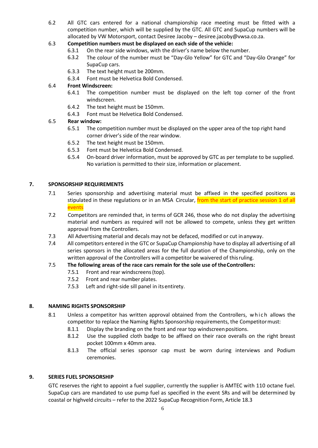6.2 All GTC cars entered for a national championship race meeting must be fitted with a competition number, which will be supplied by the GTC. All GTC and SupaCup numbers will be allocated by VW Motorsport, contact Desiree Jacoby – desire[e.jacoby@vwsa.co.za.](mailto:jacoby@vwsa.co.za)

# 6.3 **Competition numbers must be displayed on each side of the vehicle:**

- 6.3.1 On the rear side windows, with the driver's name below the number.
- 6.3.2 The colour of the number must be "Day-Glo Yellow" for GTC and "Day-Glo Orange" for SupaCup cars.
- 6.3.3 The text height must be 200mm.
- 6.3.4 Font must be Helvetica Bold Condensed.

## 6.4 **Front Windscreen:**

- 6.4.1 The competition number must be displayed on the left top corner of the front windscreen.
- 6.4.2 The text height must be 150mm.
- 6.4.3 Font must be Helvetica Bold Condensed.

## 6.5 **Rear window:**

- 6.5.1 The competition number must be displayed on the upper area of the top right hand corner driver's side of the rear window.
- 6.5.2 The text height must be 150mm.
- 6.5.3 Font must be Helvetica Bold Condensed.
- 6.5.4 On-board driver information, must be approved by GTC as per template to be supplied. No variation is permitted to their size, information or placement.

## <span id="page-5-0"></span>**7. SPONSORSHIP REQUIREMENTS**

- 7.1 Series sponsorship and advertising material must be affixed in the specified positions as stipulated in these regulations or in an MSA Circular, from the start of practice session 1 of all events
- 7.2 Competitors are reminded that, in terms of GCR 246, those who do not display the advertising material and numbers as required will not be allowed to compete, unless they get written approval from the Controllers.
- 7.3 All Advertising material and decals may not be defaced, modified or cut inanyway.
- 7.4 All competitors entered in the GTC or SupaCup Championship have to display all advertising of all series sponsors in the allocated areas for the full duration of the Championship, only on the written approval of the Controllers will a competitor be waivered of thisruling.

#### 7.5 **The following areas of the race cars remain for the sole use of theControllers:**

- 7.5.1 Front and rear windscreens(top).
- 7.5.2 Front and rear number plates.
- 7.5.3 Left and right-side sill panel in itsentirety.

#### <span id="page-5-1"></span>**8. NAMING RIGHTS SPONSORSHIP**

- 8.1 Unless a competitor has written approval obtained from the Controllers, which allows the competitor to replace the Naming Rights Sponsorship requirements, the Competitormust:
	- 8.1.1 Display the branding on the front and rear top windscreen positions.
	- 8.1.2 Use the supplied cloth badge to be affixed on their race overalls on the right breast pocket 100mm x 40mm area.
	- 8.1.3 The official series sponsor cap must be worn during interviews and Podium ceremonies.

#### <span id="page-5-2"></span>**9. SERIES FUEL SPONSORSHIP**

GTC reserves the right to appoint a fuel supplier, currently the supplier is AMTEC with 110 octane fuel. SupaCup cars are mandated to use pump fuel as specified in the event SRs and will be determined by coastal or highveld circuits – refer to the 2022 SupaCup Recognition Form, Article 18.3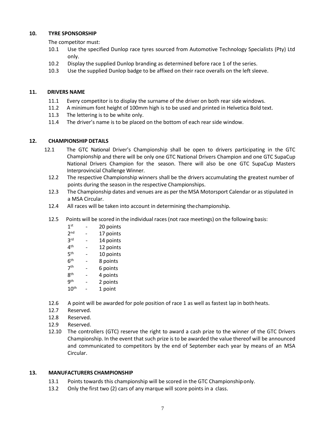#### <span id="page-6-0"></span>**10. TYRE SPONSORSHIP**

The competitor must:

- 10.1 Use the specified Dunlop race tyres sourced from Automotive Technology Specialists (Pty) Ltd only.
- 10.2 Display the supplied Dunlop branding as determined before race 1 of the series.
- 10.3 Use the supplied Dunlop badge to be affixed on their race overalls on the left sleeve.

## <span id="page-6-1"></span>**11. DRIVERS NAME**

- 11.1 Every competitor is to display the surname of the driver on both rear side windows.
- 11.2 A minimum font height of 100mm high is to be used and printed in Helvetica Bold text.
- 11.3 The lettering is to be white only.
- 11.4 The driver's name is to be placed on the bottom of each rear side window.

## <span id="page-6-2"></span>**12. CHAMPIONSHIP DETAILS**

- 12.1 The GTC National Driver's Championship shall be open to drivers participating in the GTC Championship and there will be only one GTC National Drivers Champion and one GTC SupaCup National Drivers Champion for the season. There will also be one GTC SupaCup Masters Interprovincial Challenge Winner.
	- 12.2 The respective Championship winners shall be the drivers accumulating the greatest number of points during the season in the respective Championships.
	- 12.3 The Championship dates and venues are as per the MSA Motorsport Calendar or as stipulated in a MSA Circular.
	- 12.4 All races will be taken into account in determining thechampionship.
	- 12.5 Points will be scored in the individual races (not race meetings) on the following basis:

| 1 <sup>st</sup> | 20 points |
|-----------------|-----------|
| 2 <sub>nd</sub> | 17 points |
| <b>3rd</b>      | 14 points |
| 4 <sup>th</sup> | 12 points |
| 5 <sup>th</sup> | 10 points |
| 6 <sup>th</sup> | 8 points  |
| 7 <sup>th</sup> | 6 points  |
| 8 <sup>th</sup> | 4 points  |
| <b>gth</b>      | 2 points  |
| 10              | 1 point   |

12.6 A point will be awarded for pole position of race 1 as well as fastest lap in both heats.

- 12.7 Reserved.
- 12.8 Reserved.
- 12.9 Reserved.
- 12.10 The controllers (GTC) reserve the right to award a cash prize to the winner of the GTC Drivers Championship. In the event that such prize is to be awarded the value thereof will be announced and communicated to competitors by the end of September each year by means of an MSA Circular.

#### <span id="page-6-3"></span>**13. MANUFACTURERS CHAMPIONSHIP**

- 13.1 Points towards this championship will be scored in the GTC Championshiponly.
- 13.2 Only the first two (2) cars of any marque will score points in a class.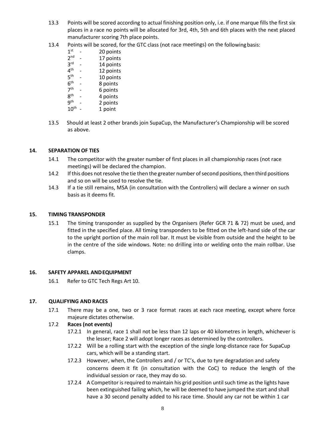- 13.3 Points will be scored according to actual finishing position only, i.e. if one marque fills the first six places in a race no points will be allocated for 3rd, 4th, 5th and 6th places with the next placed manufacturer scoring 7th place points.
- 13.4 Points will be scored, for the GTC class (not race meetings) on the followingbasis:
	- $1<sup>st</sup>$ - 20 points
	- 2 nd 17 points
	- 3 rd 14 points
	- $4^{\text{th}}$ 12 points
	- $5^{\text{th}}$ - 10 points - 8 points
	- $6^{\text{th}}$
	- 7 th - 6 points  $8<sup>th</sup>$ - 4 points
	- $9^{\text{th}}$ 2 points
	- $10^{\text{th}}$  -1 point
- 13.5 Should at least 2 other brands join SupaCup, the Manufacturer's Championship will be scored as above.

## <span id="page-7-0"></span>**14. SEPARATION OF TIES**

- 14.1 The competitor with the greater number of first places in all championship races (not race meetings) will be declared the champion.
- 14.2 If this does not resolve the tie then the greater number of second positions, then third positions and so on will be used to resolve the tie.
- 14.3 If a tie still remains, MSA (in consultation with the Controllers) will declare a winner on such basis as it deems fit.

#### <span id="page-7-1"></span>**15. TIMING TRANSPONDER**

15.1 The timing transponder as supplied by the Organisers (Refer GCR 71 & 72) must be used, and fitted in the specified place. All timing transponders to be fitted on the left-hand side of the car to the upright portion of the main roll bar. It must be visible from outside and the height to be in the centre of the side windows. Note: no drilling into or welding onto the main rollbar. Use clamps.

#### <span id="page-7-2"></span>**16. SAFETY APPAREL ANDEQUIPMENT**

16.1 Refer to GTC Tech Regs Art 10.

#### <span id="page-7-3"></span>**17. QUALIFYING AND RACES**

17.1 There may be a one, two or 3 race format races at each race meeting, except where force majeure dictates otherwise.

#### 17.2 **Races (not events)**

- 17.2.1 In general, race 1 shall not be less than 12 laps or 40 kilometres in length, whichever is the lesser; Race 2 will adopt longer races as determined by the controllers.
- 17.2.2 Will be a rolling start with the exception of the single long-distance race for SupaCup cars, which will be a standing start.
- 17.2.3 However, when, the Controllers and / or TC's, due to tyre degradation and safety concerns deem it fit (in consultation with the CoC) to reduce the length of the individual session or race, they may do so.
- 17.2.4 A Competitor is required to maintain his grid position until such time as the lights have been extinguished failing which, he will be deemed to have jumped the start and shall have a 30 second penalty added to his race time. Should any car not be within 1 car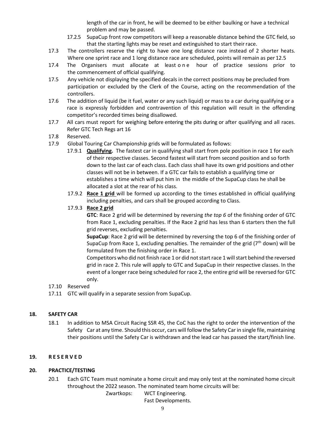length of the car in front, he will be deemed to be either baulking or have a technical problem and may be passed.

- 17.2.5 SupaCup front row competitors will keep a reasonable distance behind the GTC field, so that the starting lights may be reset and extinguished to start their race.
- 17.3 The controllers reserve the right to have one long distance race instead of 2 shorter heats. Where one sprint race and 1 long distance race are scheduled, points will remain as per 12.5
- 17.4 The Organisers must allocate at leastone hour of practice sessions prior to the commencement of official qualifying.
- 17.5 Any vehicle not displaying the specified decals in the correct positions may be precluded from participation or excluded by the Clerk of the Course, acting on the recommendation of the controllers.
- 17.6 The addition of liquid (be it fuel, water or any such liquid) or mass to a car during qualifying or a race is expressly forbidden and contravention of this regulation will result in the offending competitor's recorded times being disallowed.
- 17.7 All cars must report for weighing before entering the pits during or after qualifying and all races. Refer GTC Tech Regs art 16
- 17.8 Reserved.
- 17.9 Global Touring Car Championship grids will be formulated as follows:
	- 17.9.1 **Qualifying.** The fastest car in qualifying shall start from pole position in race 1 for each of their respective classes. Second fastest will start from second position and so forth down to the last car of each class. Each class shall have its own grid positions and other classes will not be in between. If a GTC car fails to establish a qualifying time or establishes a time which will put him in the middle of the SupaCup class he shall be allocated a slot at the rear of his class.
	- 17.9.2 **Race 1 grid** will be formed up according to the times established in official qualifying including penalties, and cars shall be grouped according to Class.
	- 17.9.3 **Race 2 grid**

**GTC**: Race 2 grid will be determined by reversing *the top 6* of the finishing order of GTC from Race 1, excluding penalties. If the Race 2 grid has less than 6 starters then the full grid reverses, excluding penalties.

**SupaCup**: Race 2 grid will be determined by reversing the top 6 of the finishing order of SupaCup from Race 1, excluding penalties. The remainder of the grid ( $7<sup>th</sup>$  down) will be formulated from the finishing order in Race 1.

Competitors who did not finish race 1 or did not start race 1 will start behind the reversed grid in race 2. This rule will apply to GTC and SupaCup in their respective classes. In the event of a longer race being scheduled for race 2, the entire grid will be reversed for GTC only.

#### 17.10 Reserved

17.11 GTC will qualify in a separate session from SupaCup.

# <span id="page-8-0"></span>**18. SAFETY CAR**

18.1 In addition to MSA Circuit Racing SSR 45, the CoC has the right to order the intervention of the Safety Car at any time. Should this occur, cars will follow the Safety Car in single file, maintaining their positions until the Safety Car is withdrawn and the lead car has passed the start/finish line.

## <span id="page-8-1"></span>**19. R E S E R V E D**

#### <span id="page-8-2"></span>**20. PRACTICE/TESTING**

20.1 Each GTC Team must nominate a home circuit and may only test at the nominated home circuit throughout the 2022 season. The nominated team home circuits will be:

> Zwartkops: WCT Engineering. Fast Developments.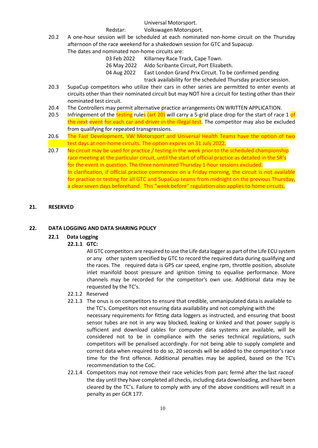Universal Motorsport.

Redstar: Volkswagen Motorsport.

20.2 A one-hour session will be scheduled at each nominated non-home circuit on the Thursday afternoon of the race weekend for a shakedown session for GTC and Supacup. The dates and nominated non-home circuits are:

| . טווווווט טוויטוו ווטוווכ טוו כמוכז מוכז |                                                                 |  |  |
|-------------------------------------------|-----------------------------------------------------------------|--|--|
| 03 Feb 2022                               | Killarney Race Track, Cape Town.                                |  |  |
| 26 May 2022                               | Aldo Scribante Circuit, Port Elizabeth.                         |  |  |
| 04 Aug 2022                               | East London Grand Prix Circuit. To be confirmed pending         |  |  |
|                                           | track availability for the scheduled Thursday practice session. |  |  |

- 20.3 SupaCup competitors who utilize their cars in other series are permitted to enter events at circuits other than their nominated circuit but may NOT hire a circuit for testing other than their nominated test circuit.
- 20.4 The Controllers may permit alternative practice arrangements ON WRITTEN APPLICATION.
- 20.5 Infringement of the testing rules (art 20) will carry a 5-grid place drop for the start of race 1 of the next event for each car and driver in the illegal test. The competitor may also be excluded from qualifying for repeated transgressions.
- 20.6 The Fast Development, VW Motorsport and Universal Health Teams have the option of two test days at non-home circuits. The option expires on 31 July 2022*.*
- 20.7 No circuit may be used for practice / testing in the week prior to the scheduled championship race meeting at the particular circuit, until the start of official practice as detailed in the SR's for the event in question. The three nominated Thursday 1-hour sessions excluded. In clarification, if official practice commences on a Friday morning, the circuit is not available for practice or testing for all GTC and SupaCup teams from midnight on the previous Thursday, a clear seven days beforehand. This "week before" regulation also applies to home circuits.

## <span id="page-9-0"></span>**21. RESERVED**

# <span id="page-9-1"></span>**22. DATA LOGGING AND DATA SHARING POLICY**

#### **22.1 Data Logging**

# **22.1.1 GTC:**

All GTC competitors are required to use the Life data logger as part of the Life ECU system or any other system specified by GTC to record the required data during qualifying and the races. The required data is GPS car speed, engine rpm, throttle position, absolute inlet manifold boost pressure and ignition timing to equalise performance. More channels may be recorded for the competitor's own use. Additional data may be requested by the TC's.

#### 22.1.2 Reserved

- 22.1.3 The onus is on competitors to ensure that credible, unmanipulated data is available to the TC's. Competitors not ensuring data availability and not complying with the necessary requirements for fitting data loggers as instructed, and ensuring that boost sensor tubes are not in any way blocked, leaking or kinked and that power supply is sufficient and download cables for computer data systems are available, will be considered not to be in compliance with the series technical regulations, such competitors will be penalised accordingly. For not being able to supply complete and correct data when required to do so, 20 seconds will be added to the competitor's race time for the first offence. Additional penalties may be applied, based on the TC's recommendation to the CoC.
- 22.1.4 Competitors may not remove their race vehicles from parc fermé after the last raceof the day until they have completed all checks, including data downloading, and have been cleared by the TC's. Failure to comply with any of the above conditions will result in a penalty as per GCR 177.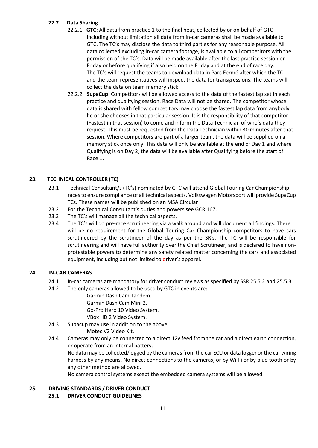## **22.2 Data Sharing**

- 22.2.1 **GTC:** All data from practice 1 to the final heat, collected by or on behalf of GTC including without limitation all data from in-car cameras shall be made available to GTC. The TC's may disclose the data to third parties for any reasonable purpose. All data collected excluding in-car camera footage, is available to all competitors with the permission of the TC's. Data will be made available after the last practice session on Friday or before qualifying if also held on the Friday and at the end of race day. The TC's will request the teams to download data in Parc Fermé after which the TC and the team representatives will inspect the data for transgressions. The teams will collect the data on team memory stick.
- 22.2.2 **SupaCup**: Competitors will be allowed access to the data of the fastest lap set in each practice and qualifying session. Race Data will not be shared. The competitor whose data is shared with fellow competitors may choose the fastest lap data from anybody he or she chooses in that particular session. It is the responsibility of that competitor (Fastest in that session) to come and inform the Data Technician of who's data they request. This must be requested from the Data Technician within 30 minutes after that session. Where competitors are part of a larger team, the data will be supplied on a memory stick once only. This data will only be available at the end of Day 1 and where Qualifying is on Day 2, the data will be available after Qualifying before the start of Race 1.

# <span id="page-10-0"></span>**23. TECHNICAL CONTROLLER (TC)**

- 23.1 Technical Consultant/s (TC's) nominated by GTC will attend Global Touring Car Championship races to ensure compliance of all technical aspects. Volkswagen Motorsport will provide SupaCup TCs. These names will be published on an MSA Circular
- 23.2 For the Technical Consultant's duties and powers see GCR 167.
- 23.3 The TC's will manage all the technical aspects.
- 23.4 The TC's will do pre-race scrutineering via a walk around and will document all findings. There will be no requirement for the Global Touring Car Championship competitors to have cars scrutineered by the scrutineer of the day as per the SR's. The TC will be responsible for scrutineering and will have full authority over the Chief Scrutineer, and is declared to have nonprotestable powers to determine any safety related matter concerning the cars and associated equipment, including but not limited to driver's apparel.

#### <span id="page-10-1"></span>**24. IN-CAR CAMERAS**

- <span id="page-10-2"></span>24.1 In-car cameras are mandatory for driver conduct reviews as specified by SSR 25.5.2 and 25.5.3
- 24.2 The only cameras allowed to be used by GTC in events are:
	- Garmin Dash Cam Tandem. Garmin Dash Cam Mini 2. Go-Pro Hero 10 Video System. VBox HD 2 Video System.
- 24.3 Supacup may use in addition to the above:

Motec V2 Video Kit.

24.4 Cameras may only be connected to a direct 12v feed from the car and a direct earth connection, or operate from an internal battery.

No data may be collected/logged by the cameras from the car ECU or data logger or the car wiring harness by any means. No direct connections to the cameras, or by Wi-Fi or by blue tooth or by any other method are allowed.

No camera control systems except the embedded camera systems will be allowed.

# **25. DRIVING STANDARDS / DRIVER CONDUCT**

**25.1 DRIVER CONDUCT GUIDELINES**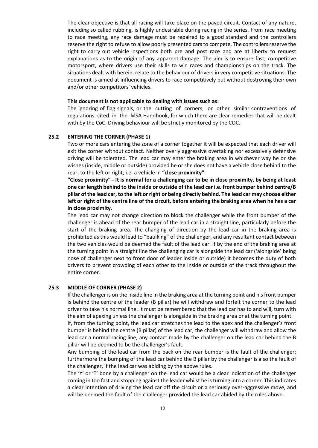The clear objective is that all racing will take place on the paved circuit. Contact of any nature, including so called rubbing, is highly undesirable during racing in the series. From race meeting to race meeting, any race damage must be repaired to a good standard and the controllers reserve the right to refuse to allow poorly presented cars to compete. The controllers reserve the right to carry out vehicle inspections both pre and post race and are at liberty to request explanations as to the origin of any apparent damage. The aim is to ensure fast, competitive motorsport, where drivers use their skills to win races and championships on the track. The situations dealt with herein, relate to the behaviour of drivers in very competitive situations. The document is aimed at influencing drivers to race competitively but without destroying their own and/or other competitors' vehicles.

#### **This document is not applicable to dealing with issues such as:**

The ignoring of flag signals, or the cutting of corners, or other similar contraventions of regulations cited in the MSA Handbook, for which there are clear remedies that will be dealt with by the CoC. Driving behaviour will be strictly monitored by the COC.

#### **25.2 ENTERING THE CORNER (PHASE 1)**

Two or more cars entering the zone of a corner together it will be expected that each driver will exit the corner without contact. Neither overly aggressive overtaking nor excessively defensive driving will be tolerated. The lead car may enter the braking area in whichever way he or she wishes (inside, middle or outside) provided he or she does not have a vehicle close behind to the rear, to the left or right, i.e. a vehicle in **"close proximity"**.

**"Close proximity" - It is normal for a challenging car to be in close proximity, by being at least one car length behind to the inside or outside of the lead car i.e. front bumper behind centre/B pillar of the lead car, to the left or right or being directly behind. The lead car may choose either left or right of the centre line of the circuit, before entering the braking area when he has a car in close proximity.**

The lead car may not change direction to block the challenger while the front bumper of the challenger is ahead of the rear bumper of the lead car in a straight line, particularly before the start of the braking area. The changing of direction by the lead car in the braking area is prohibited as this would lead to "baulking" of the challenger, and any resultant contact between the two vehicles would be deemed the fault of the lead car. If by the end of the braking area at the turning point in a straight line the challenging car is alongside the lead car ('alongside' being nose of challenger next to front door of leader inside or outside) it becomes the duty of both drivers to prevent crowding of each other to the inside or outside of the track throughout the entire corner.

#### **25.3 MIDDLE OF CORNER (PHASE 2)**

If the challenger is on the inside line in the braking area at the turning point and his front bumper is behind the centre of the leader (B pillar) he will withdraw and forfeit the corner to the lead driver to take his normal line. It must be remembered that the lead car has to and will, turn with the aim of apexing unless the challenger is alongside in the braking area or at the turning point. If, from the turning point, the lead car stretches the lead to the apex and the challenger's front bumper is behind the centre (B pillar) of the lead car, the challenger will withdraw and allow the lead car a normal racing line, any contact made by the challenger on the lead car behind the B pillar will be deemed to be the challenger's fault.

Any bumping of the lead car from the back on the rear bumper is the fault of the challenger; furthermore the bumping of the lead car behind the B pillar by the challenger is also the fault of the challenger, if the lead car was abiding by the above rules.

The 'Y' or 'T' bone by a challenger on the lead car would be a clear indication of the challenger coming in too fast and stopping against the leader whilst he is turning into a corner. This indicates a clear intention of driving the lead car off the circuit or a seriously over-aggressive move, and will be deemed the fault of the challenger provided the lead car abided by the rules above.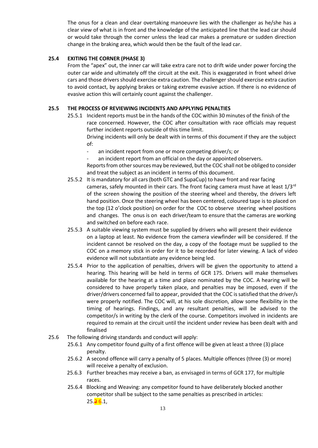The onus for a clean and clear overtaking manoeuvre lies with the challenger as he/she has a clear view of what is in front and the knowledge of the anticipated line that the lead car should or would take through the corner unless the lead car makes a premature or sudden direction change in the braking area, which would then be the fault of the lead car.

#### **25.4 EXITING THE CORNER (PHASE 3)**

From the "apex" out, the inner car will take extra care not to drift wide under power forcing the outer car wide and ultimately off the circuit at the exit. This is exaggerated in front wheel drive cars and those drivers should exercise extra caution. The challenger should exercise extra caution to avoid contact, by applying brakes or taking extreme evasive action. If there is no evidence of evasive action this will certainly count against the challenger.

#### **25.5 THE PROCESS OF REVIEWING INCIDENTS AND APPLYING PENALTIES**

- 25.5.1 Incident reports must be in the hands of the COC within 30 minutes of the finish of the race concerned. However, the COC after consultation with race officials may request further incident reports outside of this time limit. Driving incidents will only be dealt with in terms of this document if they are the subject of:
	- an incident report from one or more competing driver/s; or
	- an incident report from an official on the day or appointed observers.
	- Reports from other sources may be reviewed, but the COC shall not be obliged to consider and treat the subject as an incident in terms of this document.
- 25.5.2 It is mandatory for all cars(both GTC and SupaCup) to have front and rear facing cameras, safely mounted in their cars. The front facing camera must have at least 1/3<sup>rd</sup> of the screen showing the position of the steering wheel and thereby, the drivers left hand position. Once the steering wheel has been centered, coloured tape is to placed on the top (12 o'clock position) on order for the COC to observe steering wheel positions and changes. The onus is on each driver/team to ensure that the cameras are working and switched on before each race.
- 25.5.3 A suitable viewing system must be supplied by drivers who will present their evidence on a laptop at least. No evidence from the camera viewfinder will be considered. If the incident cannot be resolved on the day, a copy of the footage must be supplied to the COC on a memory stick in order for it to be recorded for later viewing. A lack of video evidence will not substantiate any evidence being led.
- 25.5.4 Prior to the application of penalties, drivers will be given the opportunity to attend a hearing. This hearing will be held in terms of GCR 175. Drivers will make themselves available for the hearing at a time and place nominated by the COC. A hearing will be considered to have properly taken place, and penalties may be imposed, even if the driver/drivers concerned fail to appear, provided that the COC issatisfied that the driver/s were properly notified. The COC will, at his sole discretion, allow some flexibility in the timing of hearings. Findings, and any resultant penalties, will be advised to the competitor/s in writing by the clerk of the course. Competitors involved in incidents are required to remain at the circuit until the incident under review has been dealt with and finalised
- 25.6 The following driving standards and conduct will apply:
	- 25.6.1 Any competitor found guilty of a first offence will be given at least a three (3) place penalty.
	- 25.6.2 A second offence will carry a penalty of 5 places. Multiple offences (three (3) or more) will receive a penalty of exclusion.
	- 25.6.3 Further breaches may receive a ban, as envisaged in terms of GCR 177, for multiple races.
	- 25.6.4 Blocking and Weaving: any competitor found to have deliberately blocked another competitor shall be subject to the same penalties as prescribed in articles:  $25.\overline{26}.1,$